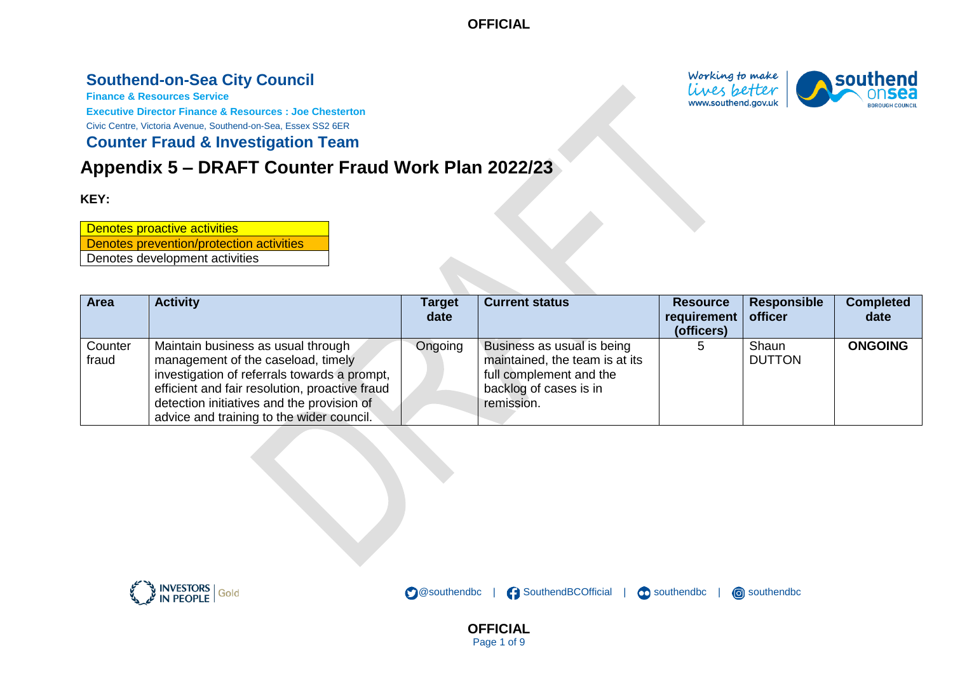# **Southend-on-Sea City Council**

**Finance & Resources Service**

**Executive Director Finance & Resources : Joe Chesterton**

Civic Centre, Victoria Avenue, Southend-on-Sea, Essex SS2 6ER

#### **Counter Fraud & Investigation Team**

# **Appendix 5 – DRAFT Counter Fraud Work Plan 2022/23**

#### **KEY:**

Denotes proactive activities Denotes prevention/protection activities Denotes development activities

| <b>Area</b>      | <b>Activity</b>                                                                                                                                                                                                                                                       | Target  | <b>Current status</b>                                                                                                           | <b>Resource</b>           | <b>Responsible</b>     | <b>Completed</b> |
|------------------|-----------------------------------------------------------------------------------------------------------------------------------------------------------------------------------------------------------------------------------------------------------------------|---------|---------------------------------------------------------------------------------------------------------------------------------|---------------------------|------------------------|------------------|
|                  |                                                                                                                                                                                                                                                                       | date    |                                                                                                                                 | requirement<br>(officers) | officer                | date             |
| Counter<br>fraud | Maintain business as usual through<br>management of the caseload, timely<br>investigation of referrals towards a prompt,<br>efficient and fair resolution, proactive fraud<br>detection initiatives and the provision of<br>advice and training to the wider council. | Ongoing | Business as usual is being<br>maintained, the team is at its<br>full complement and the<br>backlog of cases is in<br>remission. |                           | Shaun<br><b>DUTTON</b> | <b>ONGOING</b>   |

**OFFICIAL** Page 1 of 9

SouthendBCOfficial |

**C** southendbc

**c** southendbc

**@southendbc** 



Working to make lives better www.southend.gov.uk

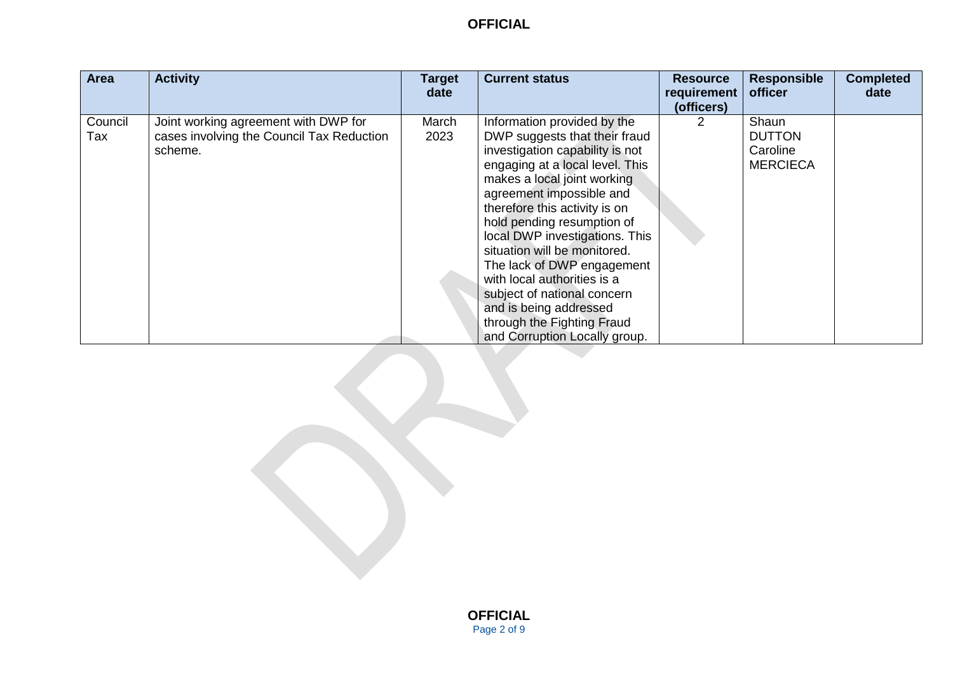| Area    | <b>Activity</b>                           | <b>Target</b><br>date | <b>Current status</b>           | <b>Resource</b><br>requirement | <b>Responsible</b><br>officer | <b>Completed</b><br>date |
|---------|-------------------------------------------|-----------------------|---------------------------------|--------------------------------|-------------------------------|--------------------------|
|         |                                           |                       |                                 | (officers)                     |                               |                          |
| Council | Joint working agreement with DWP for      | March                 | Information provided by the     |                                | Shaun                         |                          |
| Tax     | cases involving the Council Tax Reduction | 2023                  | DWP suggests that their fraud   |                                | <b>DUTTON</b>                 |                          |
|         | scheme.                                   |                       | investigation capability is not |                                | Caroline                      |                          |
|         |                                           |                       | engaging at a local level. This |                                | <b>MERCIECA</b>               |                          |
|         |                                           |                       | makes a local joint working     |                                |                               |                          |
|         |                                           |                       | agreement impossible and        |                                |                               |                          |
|         |                                           |                       | therefore this activity is on   |                                |                               |                          |
|         |                                           |                       | hold pending resumption of      |                                |                               |                          |
|         |                                           |                       | local DWP investigations. This  |                                |                               |                          |
|         |                                           |                       | situation will be monitored.    |                                |                               |                          |
|         |                                           |                       | The lack of DWP engagement      |                                |                               |                          |
|         |                                           |                       | with local authorities is a     |                                |                               |                          |
|         |                                           |                       | subject of national concern     |                                |                               |                          |
|         |                                           |                       | and is being addressed          |                                |                               |                          |
|         |                                           |                       | through the Fighting Fraud      |                                |                               |                          |
|         |                                           |                       | and Corruption Locally group.   |                                |                               |                          |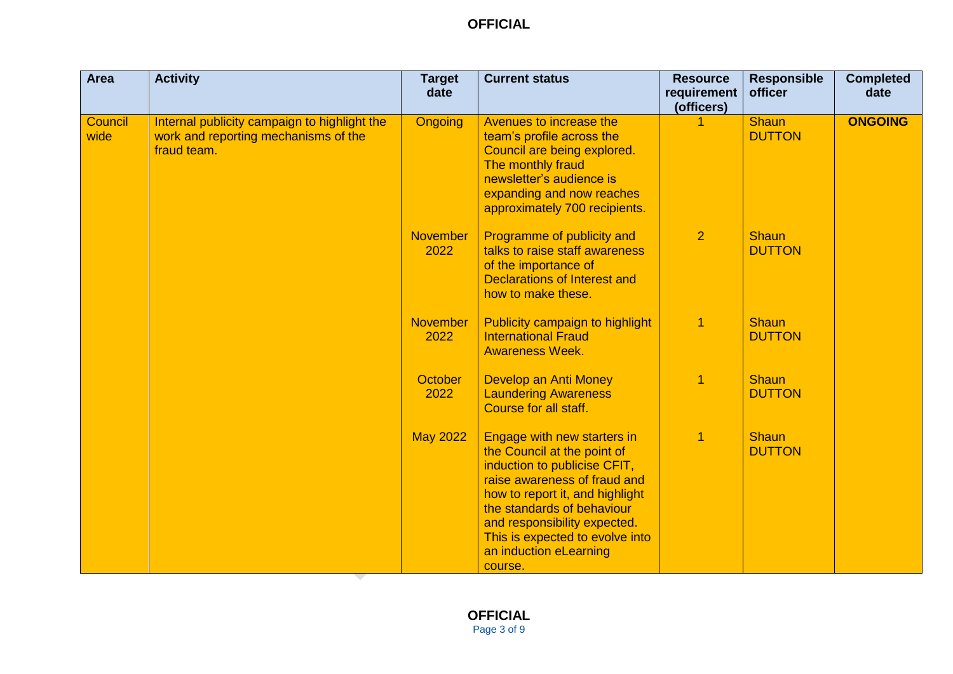| <b>Area</b>            | <b>Activity</b>                                                                                     | <b>Target</b><br>date   | <b>Current status</b>                                                                                                                                                                                                                                                                               | <b>Resource</b><br>requirement<br>(officers) | <b>Responsible</b><br>officer | <b>Completed</b><br>date |
|------------------------|-----------------------------------------------------------------------------------------------------|-------------------------|-----------------------------------------------------------------------------------------------------------------------------------------------------------------------------------------------------------------------------------------------------------------------------------------------------|----------------------------------------------|-------------------------------|--------------------------|
| <b>Council</b><br>wide | Internal publicity campaign to highlight the<br>work and reporting mechanisms of the<br>fraud team. | <b>Ongoing</b>          | Avenues to increase the<br>team's profile across the<br>Council are being explored.<br>The monthly fraud<br>newsletter's audience is<br>expanding and now reaches<br>approximately 700 recipients.                                                                                                  |                                              | <b>Shaun</b><br><b>DUTTON</b> | <b>ONGOING</b>           |
|                        |                                                                                                     | <b>November</b><br>2022 | Programme of publicity and<br>talks to raise staff awareness<br>of the importance of<br><b>Declarations of Interest and</b><br>how to make these.                                                                                                                                                   | $\overline{2}$                               | <b>Shaun</b><br><b>DUTTON</b> |                          |
|                        |                                                                                                     | <b>November</b><br>2022 | Publicity campaign to highlight<br><b>International Fraud</b><br><b>Awareness Week.</b>                                                                                                                                                                                                             | $\overline{1}$                               | <b>Shaun</b><br><b>DUTTON</b> |                          |
|                        |                                                                                                     | October<br>2022         | Develop an Anti Money<br><b>Laundering Awareness</b><br>Course for all staff.                                                                                                                                                                                                                       | 1                                            | <b>Shaun</b><br><b>DUTTON</b> |                          |
|                        |                                                                                                     | <b>May 2022</b>         | Engage with new starters in<br>the Council at the point of<br>induction to publicise CFIT,<br>raise awareness of fraud and<br>how to report it, and highlight<br>the standards of behaviour<br>and responsibility expected.<br>This is expected to evolve into<br>an induction eLearning<br>course. | $\overline{1}$                               | <b>Shaun</b><br><b>DUTTON</b> |                          |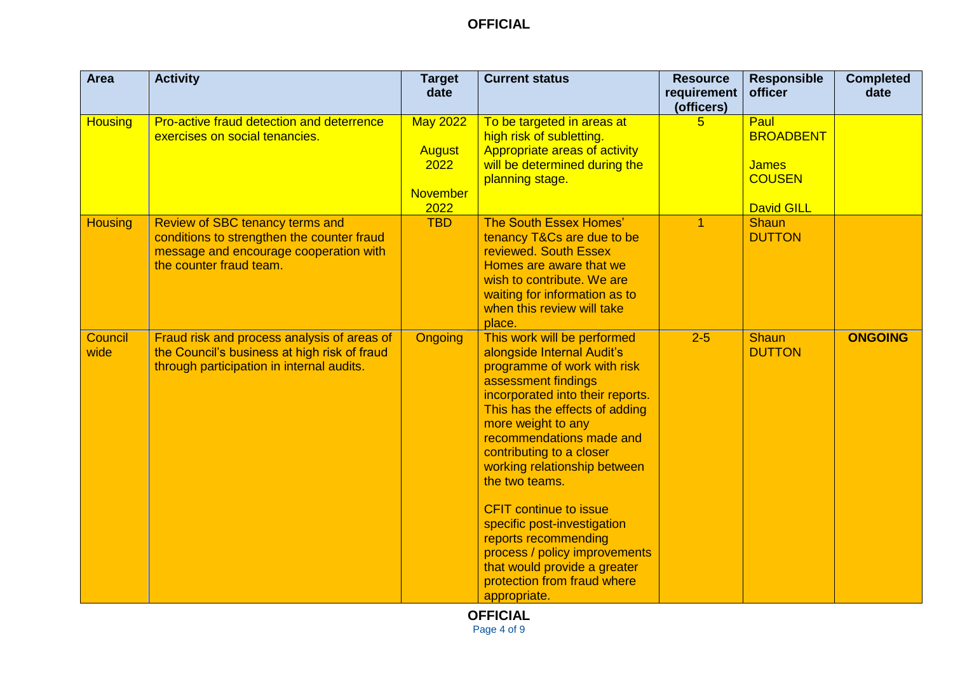| <b>Area</b>            | <b>Activity</b>                                                                                                                                    | <b>Target</b><br>date                                               | <b>Current status</b>                                                                                                                                                                                                                                                                                                                                                                                                                                                                                                         | <b>Resource</b><br>requirement<br>(officers) | <b>Responsible</b><br>officer                                                  | <b>Completed</b><br>date |
|------------------------|----------------------------------------------------------------------------------------------------------------------------------------------------|---------------------------------------------------------------------|-------------------------------------------------------------------------------------------------------------------------------------------------------------------------------------------------------------------------------------------------------------------------------------------------------------------------------------------------------------------------------------------------------------------------------------------------------------------------------------------------------------------------------|----------------------------------------------|--------------------------------------------------------------------------------|--------------------------|
| <b>Housing</b>         | Pro-active fraud detection and deterrence<br>exercises on social tenancies.                                                                        | <b>May 2022</b><br><b>August</b><br>2022<br><b>November</b><br>2022 | To be targeted in areas at<br>high risk of subletting.<br>Appropriate areas of activity<br>will be determined during the<br>planning stage.                                                                                                                                                                                                                                                                                                                                                                                   | 5.                                           | Paul<br><b>BROADBENT</b><br><b>James</b><br><b>COUSEN</b><br><b>David GILL</b> |                          |
| <b>Housing</b>         | Review of SBC tenancy terms and<br>conditions to strengthen the counter fraud<br>message and encourage cooperation with<br>the counter fraud team. | <b>TBD</b>                                                          | The South Essex Homes'<br>tenancy T&Cs are due to be<br>reviewed. South Essex<br>Homes are aware that we<br>wish to contribute. We are<br>waiting for information as to<br>when this review will take<br>place.                                                                                                                                                                                                                                                                                                               | 1                                            | <b>Shaun</b><br><b>DUTTON</b>                                                  |                          |
| <b>Council</b><br>wide | Fraud risk and process analysis of areas of<br>the Council's business at high risk of fraud<br>through participation in internal audits.           | <b>Ongoing</b>                                                      | This work will be performed<br>alongside Internal Audit's<br>programme of work with risk<br>assessment findings<br>incorporated into their reports.<br>This has the effects of adding<br>more weight to any<br>recommendations made and<br>contributing to a closer<br>working relationship between<br>the two teams.<br><b>CFIT continue to issue</b><br>specific post-investigation<br>reports recommending<br>process / policy improvements<br>that would provide a greater<br>protection from fraud where<br>appropriate. | $2 - 5$                                      | <b>Shaun</b><br><b>DUTTON</b>                                                  | <b>ONGOING</b>           |

**OFFICIAL** Page 4 of 9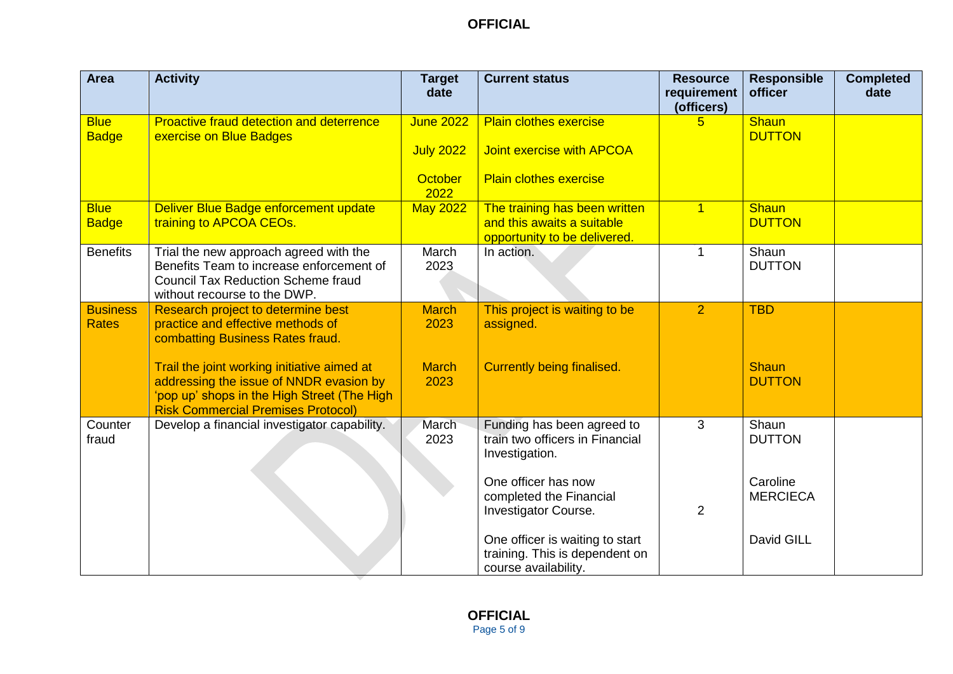| <b>Area</b>                     | <b>Activity</b>                                                                                                                                                                    | <b>Target</b><br>date                                          | <b>Current status</b>                                                                              | <b>Resource</b><br>requirement<br>(officers) | <b>Responsible</b><br>officer | <b>Completed</b><br>date |
|---------------------------------|------------------------------------------------------------------------------------------------------------------------------------------------------------------------------------|----------------------------------------------------------------|----------------------------------------------------------------------------------------------------|----------------------------------------------|-------------------------------|--------------------------|
| <b>Blue</b><br><b>Badge</b>     | <b>Proactive fraud detection and deterrence</b><br>exercise on Blue Badges                                                                                                         | <b>June 2022</b><br><b>July 2022</b><br><b>October</b><br>2022 | <b>Plain clothes exercise</b><br><b>Joint exercise with APCOA</b><br><b>Plain clothes exercise</b> | 5.                                           | <b>Shaun</b><br><b>DUTTON</b> |                          |
| <b>Blue</b><br><b>Badge</b>     | Deliver Blue Badge enforcement update<br>training to APCOA CEOs.                                                                                                                   | <b>May 2022</b>                                                | The training has been written<br>and this awaits a suitable<br>opportunity to be delivered.        | $\mathbf{1}$                                 | <b>Shaun</b><br><b>DUTTON</b> |                          |
| <b>Benefits</b>                 | Trial the new approach agreed with the<br>Benefits Team to increase enforcement of<br><b>Council Tax Reduction Scheme fraud</b><br>without recourse to the DWP.                    | March<br>2023                                                  | In action.                                                                                         | 1                                            | Shaun<br><b>DUTTON</b>        |                          |
| <b>Business</b><br><b>Rates</b> | Research project to determine best<br>practice and effective methods of<br>combatting Business Rates fraud.                                                                        | <b>March</b><br>2023                                           | This project is waiting to be<br>assigned.                                                         | $\overline{2}$                               | <b>TBD</b>                    |                          |
|                                 | Trail the joint working initiative aimed at<br>addressing the issue of NNDR evasion by<br>'pop up' shops in the High Street (The High<br><b>Risk Commercial Premises Protocol)</b> | <b>March</b><br>2023                                           | <b>Currently being finalised.</b>                                                                  |                                              | <b>Shaun</b><br><b>DUTTON</b> |                          |
| Counter<br>fraud                | Develop a financial investigator capability.                                                                                                                                       | March<br>2023                                                  | Funding has been agreed to<br>train two officers in Financial<br>Investigation.                    | 3                                            | Shaun<br><b>DUTTON</b>        |                          |
|                                 |                                                                                                                                                                                    |                                                                | One officer has now<br>completed the Financial<br>Investigator Course.                             | $\overline{2}$                               | Caroline<br><b>MERCIECA</b>   |                          |
|                                 |                                                                                                                                                                                    |                                                                | One officer is waiting to start<br>training. This is dependent on<br>course availability.          |                                              | David GILL                    |                          |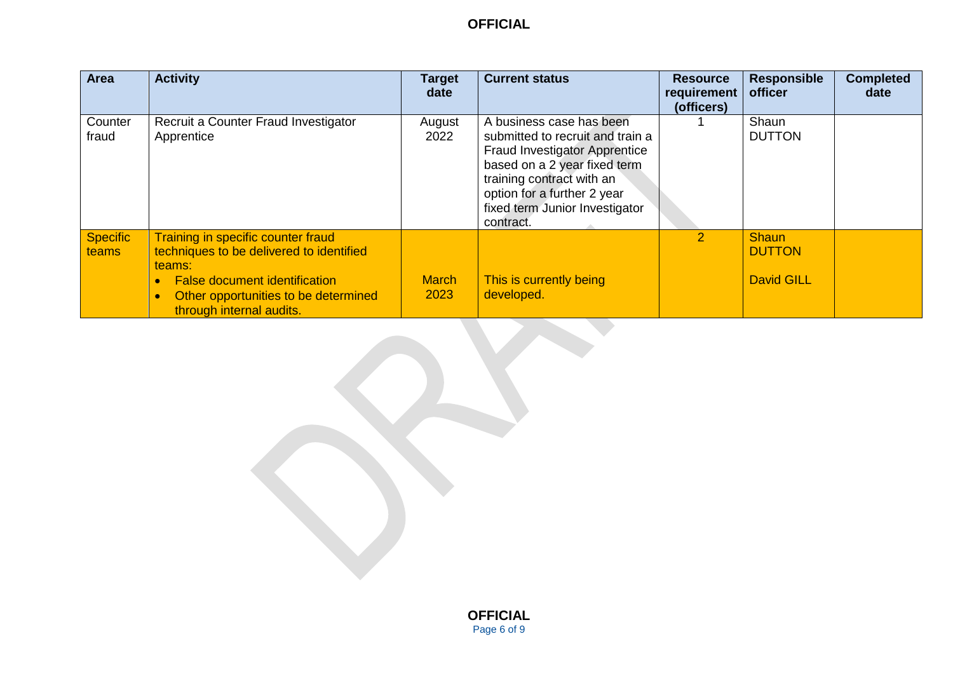| Area                     | <b>Activity</b>                                                                                                                                                                                      | Target<br>date       | <b>Current status</b>                                                                                                                                                                                                                           | <b>Resource</b><br>requirement<br>(officers) | <b>Responsible</b><br>officer                      | <b>Completed</b><br>date |
|--------------------------|------------------------------------------------------------------------------------------------------------------------------------------------------------------------------------------------------|----------------------|-------------------------------------------------------------------------------------------------------------------------------------------------------------------------------------------------------------------------------------------------|----------------------------------------------|----------------------------------------------------|--------------------------|
| Counter<br>fraud         | Recruit a Counter Fraud Investigator<br>Apprentice                                                                                                                                                   | August<br>2022       | A business case has been<br>submitted to recruit and train a<br><b>Fraud Investigator Apprentice</b><br>based on a 2 year fixed term<br>training contract with an<br>option for a further 2 year<br>fixed term Junior Investigator<br>contract. |                                              | Shaun<br><b>DUTTON</b>                             |                          |
| <b>Specific</b><br>teams | Training in specific counter fraud<br>techniques to be delivered to identified<br>teams:<br><b>False document identification</b><br>Other opportunities to be determined<br>through internal audits. | <b>March</b><br>2023 | This is currently being<br>developed.                                                                                                                                                                                                           | $\mathcal{P}$                                | <b>Shaun</b><br><b>DUTTON</b><br><b>David GILL</b> |                          |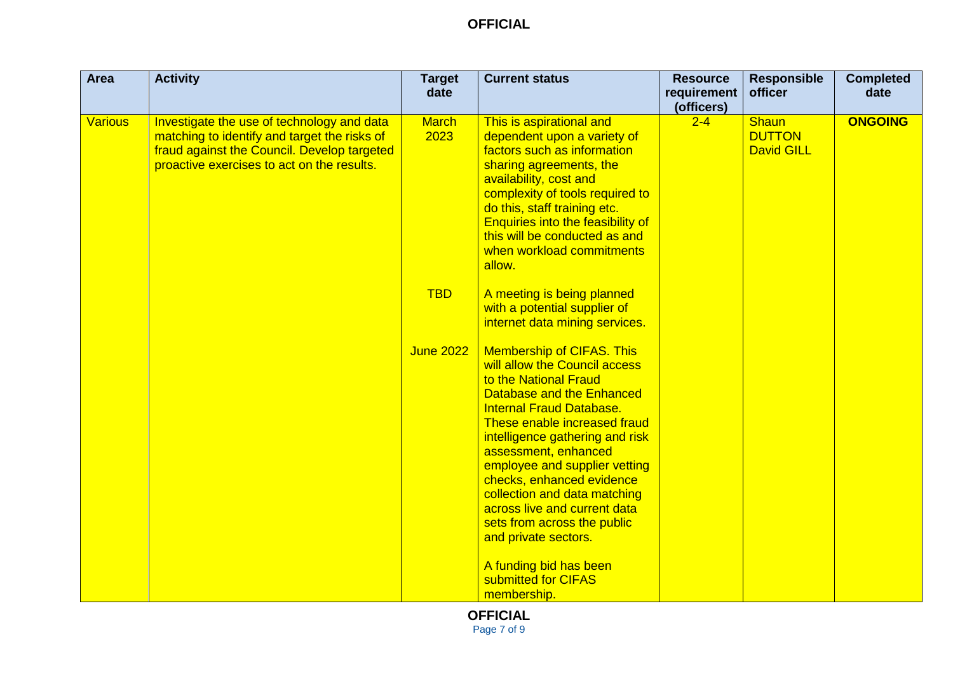| <b>Area</b>    | <b>Activity</b>                                                                                                                                                                         | <b>Target</b><br>date | <b>Current status</b>                                                                                                                                                                                                                                                                                                                                                                                                                      | <b>Resource</b><br>requirement | <b>Responsible</b><br>officer                      | <b>Completed</b><br>date |
|----------------|-----------------------------------------------------------------------------------------------------------------------------------------------------------------------------------------|-----------------------|--------------------------------------------------------------------------------------------------------------------------------------------------------------------------------------------------------------------------------------------------------------------------------------------------------------------------------------------------------------------------------------------------------------------------------------------|--------------------------------|----------------------------------------------------|--------------------------|
| <b>Various</b> | Investigate the use of technology and data<br>matching to identify and target the risks of<br>fraud against the Council. Develop targeted<br>proactive exercises to act on the results. | <b>March</b><br>2023  | This is aspirational and<br>dependent upon a variety of<br>factors such as information<br>sharing agreements, the<br>availability, cost and<br>complexity of tools required to<br>do this, staff training etc.<br><b>Enquiries into the feasibility of</b><br>this will be conducted as and<br>when workload commitments<br>allow.                                                                                                         | (officers)<br>$2 - 4$          | <b>Shaun</b><br><b>DUTTON</b><br><b>David GILL</b> | <b>ONGOING</b>           |
|                |                                                                                                                                                                                         | <b>TBD</b>            | A meeting is being planned<br>with a potential supplier of<br>internet data mining services.                                                                                                                                                                                                                                                                                                                                               |                                |                                                    |                          |
|                |                                                                                                                                                                                         | <b>June 2022</b>      | <b>Membership of CIFAS. This</b><br>will allow the Council access<br>to the National Fraud<br>Database and the Enhanced<br><b>Internal Fraud Database.</b><br>These enable increased fraud<br>intelligence gathering and risk<br>assessment, enhanced<br>employee and supplier vetting<br>checks, enhanced evidence<br>collection and data matching<br>across live and current data<br>sets from across the public<br>and private sectors. |                                |                                                    |                          |
|                |                                                                                                                                                                                         |                       | A funding bid has been<br>submitted for CIFAS<br>membership.                                                                                                                                                                                                                                                                                                                                                                               |                                |                                                    |                          |

**OFFICIAL** Page 7 of 9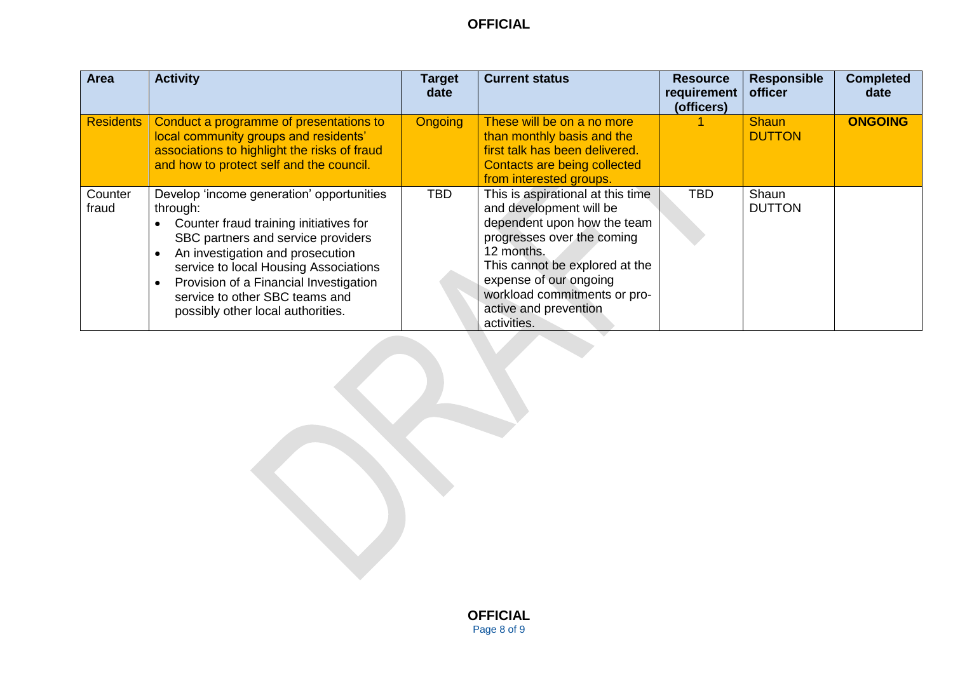| <b>Area</b>      | <b>Activity</b>                                                                                                                                                                                                                                                                                                                     | <b>Target</b><br>date | <b>Current status</b>                                                                                                                                                                                                                                                       | <b>Resource</b><br>requirement<br>(officers) | <b>Responsible</b><br>officer | <b>Completed</b><br>date |
|------------------|-------------------------------------------------------------------------------------------------------------------------------------------------------------------------------------------------------------------------------------------------------------------------------------------------------------------------------------|-----------------------|-----------------------------------------------------------------------------------------------------------------------------------------------------------------------------------------------------------------------------------------------------------------------------|----------------------------------------------|-------------------------------|--------------------------|
| <b>Residents</b> | Conduct a programme of presentations to<br>local community groups and residents'<br>associations to highlight the risks of fraud<br>and how to protect self and the council.                                                                                                                                                        | <b>Ongoing</b>        | These will be on a no more<br>than monthly basis and the<br>first talk has been delivered.<br>Contacts are being collected<br>from interested groups.                                                                                                                       |                                              | <b>Shaun</b><br><b>DUTTON</b> | <b>ONGOING</b>           |
| Counter<br>fraud | Develop 'income generation' opportunities<br>through:<br>Counter fraud training initiatives for<br>SBC partners and service providers<br>An investigation and prosecution<br>service to local Housing Associations<br>Provision of a Financial Investigation<br>service to other SBC teams and<br>possibly other local authorities. | <b>TBD</b>            | This is aspirational at this time<br>and development will be<br>dependent upon how the team<br>progresses over the coming<br>12 months.<br>This cannot be explored at the<br>expense of our ongoing<br>workload commitments or pro-<br>active and prevention<br>activities. | <b>TBD</b>                                   | Shaun<br><b>DUTTON</b>        |                          |